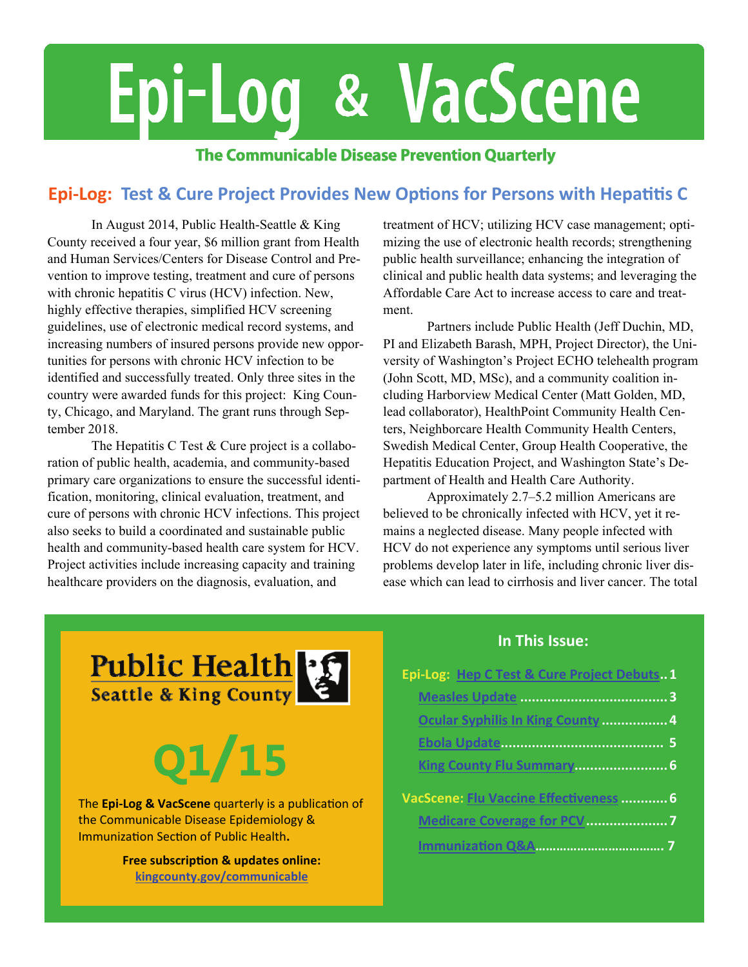# Epi-Log & VacScene

#### **The Communicable Disease Prevention Quarterly**

#### **Epi‐Log: Test & Cure Project Provides New OpƟons for Persons with HepaƟƟs C**

 In August 2014, Public Health-Seattle & King County received a four year, \$6 million grant from Health and Human Services/Centers for Disease Control and Prevention to improve testing, treatment and cure of persons with chronic hepatitis C virus (HCV) infection. New, highly effective therapies, simplified HCV screening guidelines, use of electronic medical record systems, and increasing numbers of insured persons provide new opportunities for persons with chronic HCV infection to be identified and successfully treated. Only three sites in the country were awarded funds for this project: King County, Chicago, and Maryland. The grant runs through September 2018.

The Hepatitis C Test & Cure project is a collaboration of public health, academia, and community-based primary care organizations to ensure the successful identification, monitoring, clinical evaluation, treatment, and cure of persons with chronic HCV infections. This project also seeks to build a coordinated and sustainable public health and community-based health care system for HCV. Project activities include increasing capacity and training healthcare providers on the diagnosis, evaluation, and

treatment of HCV; utilizing HCV case management; optimizing the use of electronic health records; strengthening public health surveillance; enhancing the integration of clinical and public health data systems; and leveraging the Affordable Care Act to increase access to care and treatment.

 Partners include Public Health (Jeff Duchin, MD, PI and Elizabeth Barash, MPH, Project Director), the University of Washington's Project ECHO telehealth program (John Scott, MD, MSc), and a community coalition including Harborview Medical Center (Matt Golden, MD, lead collaborator), HealthPoint Community Health Centers, Neighborcare Health Community Health Centers, Swedish Medical Center, Group Health Cooperative, the Hepatitis Education Project, and Washington State's Department of Health and Health Care Authority.

 Approximately 2.7–5.2 million Americans are believed to be chronically infected with HCV, yet it remains a neglected disease. Many people infected with HCV do not experience any symptoms until serious liver problems develop later in life, including chronic liver disease which can lead to cirrhosis and liver cancer. The total

Public Health<br>Seattle & King County

## **Q1/15**

The **Epi‐Log & VacScene** quarterly is a publicaƟon of the Communicable Disease Epidemiology & Immunization Section of Public Health.

> **Free subscripƟon & updates online: [kingcounty.gov/communicable](http://www.kingcounty.gov/communicable)**

#### **In This Issue:**

| Epi-Log: Hep C Test & Cure Project Debuts1 |
|--------------------------------------------|
|                                            |
| Ocular Syphilis In King County  4          |
|                                            |
|                                            |
| VacScene: Flu Vaccine Effectiveness  6     |
|                                            |
|                                            |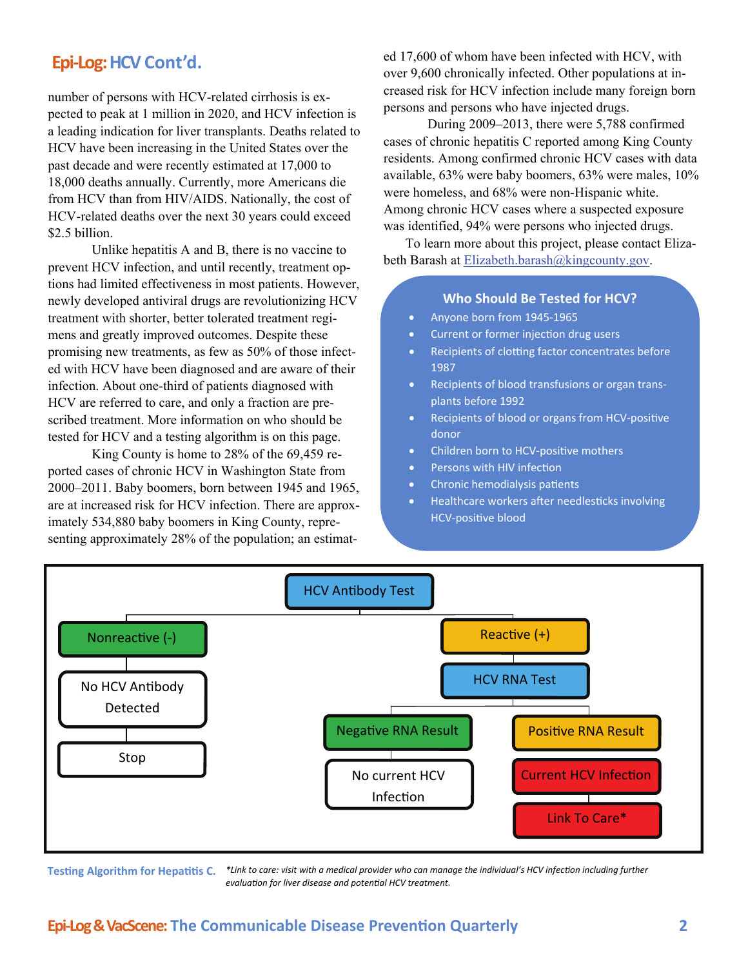number of persons with HCV-related cirrhosis is expected to peak at 1 million in 2020, and HCV infection is a leading indication for liver transplants. Deaths related to HCV have been increasing in the United States over the past decade and were recently estimated at 17,000 to 18,000 deaths annually. Currently, more Americans die from HCV than from HIV/AIDS. Nationally, the cost of HCV-related deaths over the next 30 years could exceed \$2.5 billion.

 Unlike hepatitis A and B, there is no vaccine to prevent HCV infection, and until recently, treatment options had limited effectiveness in most patients. However, newly developed antiviral drugs are revolutionizing HCV treatment with shorter, better tolerated treatment regimens and greatly improved outcomes. Despite these promising new treatments, as few as 50% of those infected with HCV have been diagnosed and are aware of their infection. About one-third of patients diagnosed with HCV are referred to care, and only a fraction are prescribed treatment. More information on who should be tested for HCV and a testing algorithm is on this page.

 King County is home to 28% of the 69,459 reported cases of chronic HCV in Washington State from 2000–2011. Baby boomers, born between 1945 and 1965, are at increased risk for HCV infection. There are approximately 534,880 baby boomers in King County, representing approximately 28% of the population; an estimat-

**Epi-Log: HCV Cont'd.** ed 17,600 of whom have been infected with HCV, with edge of the state of the state of the state of the state of the state of the state of the state of the state of the state of the state of the state over 9,600 chronically infected. Other populations at increased risk for HCV infection include many foreign born persons and persons who have injected drugs.

> During 2009–2013, there were 5,788 confirmed cases of chronic hepatitis C reported among King County residents. Among confirmed chronic HCV cases with data available, 63% were baby boomers, 63% were males, 10% were homeless, and 68% were non-Hispanic white. Among chronic HCV cases where a suspected exposure was identified, 94% were persons who injected drugs.

> To learn more about this project, please contact Elizabeth Barash at [Elizabeth.barash@kingcounty.gov.](mailto:Elizabeth.barash@kingcounty.gov)

#### **Who Should Be Tested for HCV?**

- Anyone born from 1945‐1965
- Current or former injection drug users
- Recipients of clotting factor concentrates before 1987
- Recipients of blood transfusions or organ trans‐ plants before 1992
- Recipients of blood or organs from HCV-positive donor
- Children born to HCV-positive mothers
- Persons with HIV infection
- Chronic hemodialysis patients
- Healthcare workers after needlesticks involving HCV-positive blood



**Testing Algorithm for Hepatitis C.** \*Link to care: visit with a medical provider who can manage the individual's HCV infection including further *evaluaƟon for liver disease and potenƟal HCV treatment.*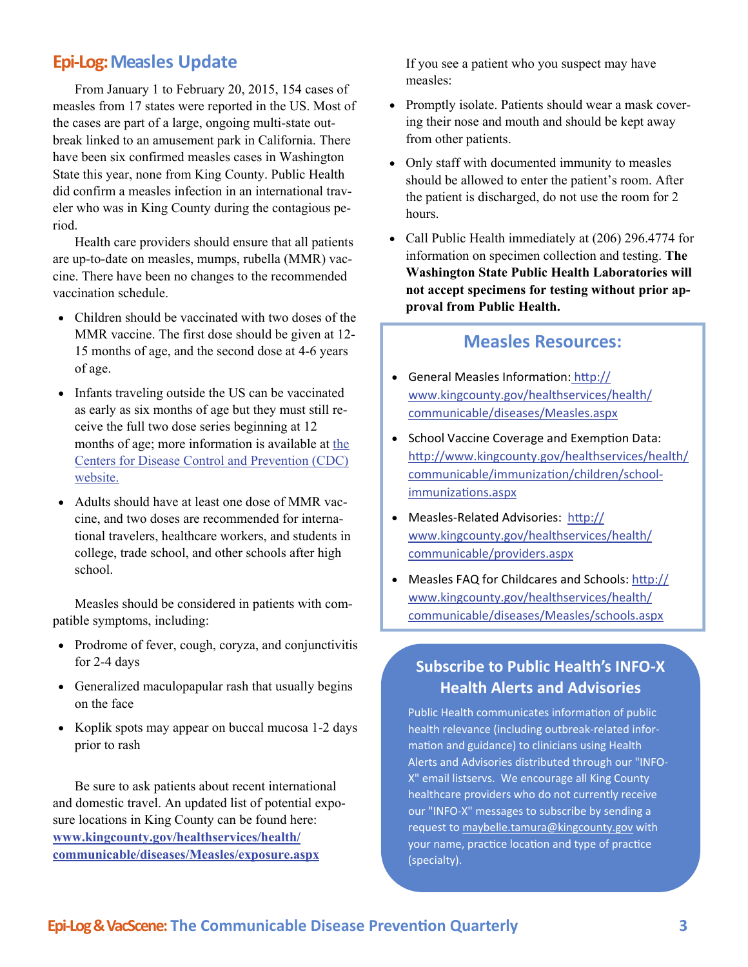#### <span id="page-2-0"></span>**Epi‐Log:Measles Update**

From January 1 to February 20, 2015, 154 cases of measles from 17 states were reported in the US. Most of the cases are part of a large, ongoing multi-state outbreak linked to an amusement park in California. There have been six confirmed measles cases in Washington State this year, none from King County. Public Health did confirm a measles infection in an international traveler who was in King County during the contagious period.

Health care providers should ensure that all patients are up-to-date on measles, mumps, rubella (MMR) vaccine. There have been no changes to the recommended vaccination schedule.

- Children should be vaccinated with two doses of the MMR vaccine. The first dose should be given at 12- 15 months of age, and the second dose at 4-6 years of age.
- Infants traveling outside the US can be vaccinated as early as six months of age but they must still receive the full two dose series beginning at 12 months of age; more information is available at the [Centers for Disease Control and Prevention \(CDC\)](http://www.cdc.gov/vaccines/vpd-vac/measles/dis-detail-rec.htm)  [website.](http://www.cdc.gov/vaccines/vpd-vac/measles/dis-detail-rec.htm)
- Adults should have at least one dose of MMR vaccine, and two doses are recommended for international travelers, healthcare workers, and students in college, trade school, and other schools after high school.

Measles should be considered in patients with compatible symptoms, including:

- Prodrome of fever, cough, coryza, and conjunctivitis for 2-4 days
- Generalized maculopapular rash that usually begins on the face
- Koplik spots may appear on buccal mucosa 1-2 days prior to rash

Be sure to ask patients about recent international and domestic travel. An updated list of potential exposure locations in King County can be found here: **[www.kingcounty.gov/healthservices/health/](http://www.kingcounty.gov/healthservices/health/communicable/diseases/Measles/exposure.aspx) [communicable/diseases/Measles/exposure.aspx](http://www.kingcounty.gov/healthservices/health/communicable/diseases/Measles/exposure.aspx)**

If you see a patient who you suspect may have measles:

- Promptly isolate. Patients should wear a mask covering their nose and mouth and should be kept away from other patients.
- Only staff with documented immunity to measles should be allowed to enter the patient's room. After the patient is discharged, do not use the room for 2 hours.
- Call Public Health immediately at (206) 296.4774 for information on specimen collection and testing. **The Washington State Public Health Laboratories will not accept specimens for testing without prior approval from Public Health.**

#### **Measles Resources:**

- General Measles Information: htt[p://](http://www.kingcounty.gov/healthservices/health/communicable/diseases/Measles.aspx) [www.kingcounty.gov/healthservices/health/](http://www.kingcounty.gov/healthservices/health/communicable/diseases/Measles.aspx) [communicable/diseases/Measles.aspx](http://www.kingcounty.gov/healthservices/health/communicable/diseases/Measles.aspx)
- School Vaccine Coverage and Exemption Data: htt[p://www.kingcounty.gov/healthservices/health/](http://www.kingcounty.gov/healthservices/health/communicable/immunization/children/school-immunizations.aspx) [communicable/immuniza](http://www.kingcounty.gov/healthservices/health/communicable/immunization/children/school-immunizations.aspx)tion/children/school[immuniza](http://www.kingcounty.gov/healthservices/health/communicable/immunization/children/school-immunizations.aspx)tions.aspx
- Measles-Related Advisories: htt[p://](http://www.kingcounty.gov/healthservices/health/communicable/providers.aspx) [www.kingcounty.gov/healthservices/health/](http://www.kingcounty.gov/healthservices/health/communicable/providers.aspx) [communicable/providers.aspx](http://www.kingcounty.gov/healthservices/health/communicable/providers.aspx)
- Measles FAQ for Childcares and Schools: htt[p://](http://www.kingcounty.gov/healthservices/health/communicable/diseases/Measles/schools.aspx) [www.kingcounty.gov/healthservices/health/](http://www.kingcounty.gov/healthservices/health/communicable/diseases/Measles/schools.aspx) [communicable/diseases/Measles/schools.aspx](http://www.kingcounty.gov/healthservices/health/communicable/diseases/Measles/schools.aspx)

#### **Subscribe to Public Health's INFO‐X Health Alerts and Advisories**

Public Health communicates information of public health relevance (including outbreak‐related infor‐ mation and guidance) to clinicians using Health Alerts and Advisories distributed through our "INFO‐ X" email listservs. We encourage all King County healthcare providers who do not currently receive our "INFO‐X" messages to subscribe by sending a request to [maybelle.tamura@kingcounty.gov](mailto:maybelle.tamura@kingcounty.gov) with your name, practice location and type of practice (specialty).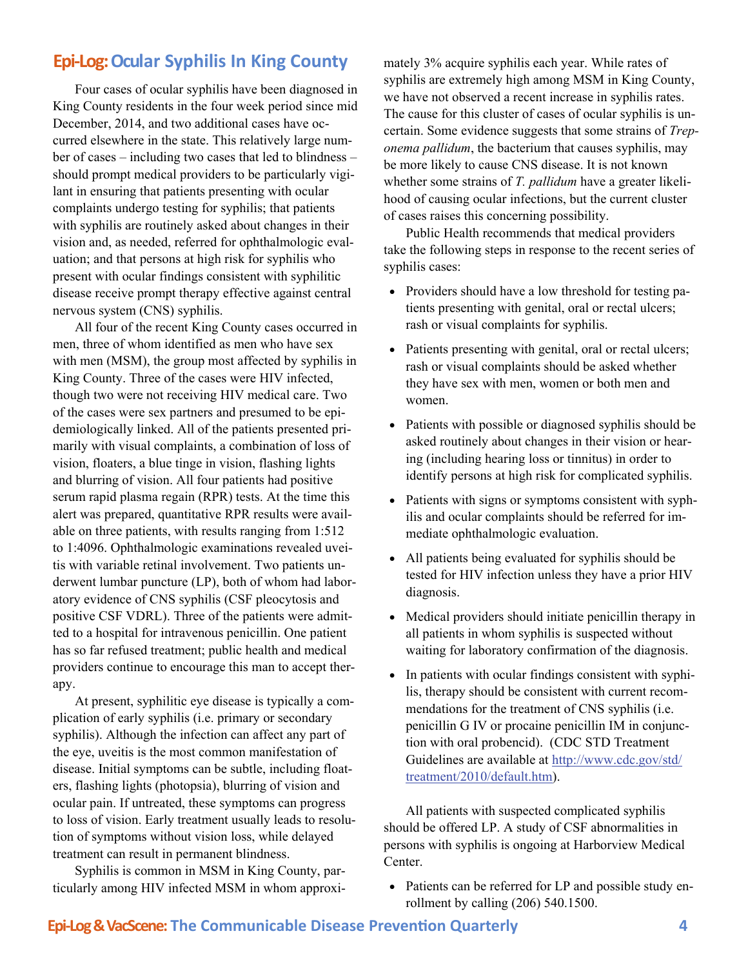#### <span id="page-3-0"></span>**Epi‐Log:Ocular Syphilis In King County**

Four cases of ocular syphilis have been diagnosed in King County residents in the four week period since mid December, 2014, and two additional cases have occurred elsewhere in the state. This relatively large number of cases – including two cases that led to blindness – should prompt medical providers to be particularly vigilant in ensuring that patients presenting with ocular complaints undergo testing for syphilis; that patients with syphilis are routinely asked about changes in their vision and, as needed, referred for ophthalmologic evaluation; and that persons at high risk for syphilis who present with ocular findings consistent with syphilitic disease receive prompt therapy effective against central nervous system (CNS) syphilis.

All four of the recent King County cases occurred in men, three of whom identified as men who have sex with men (MSM), the group most affected by syphilis in King County. Three of the cases were HIV infected, though two were not receiving HIV medical care. Two of the cases were sex partners and presumed to be epidemiologically linked. All of the patients presented primarily with visual complaints, a combination of loss of vision, floaters, a blue tinge in vision, flashing lights and blurring of vision. All four patients had positive serum rapid plasma regain (RPR) tests. At the time this alert was prepared, quantitative RPR results were available on three patients, with results ranging from 1:512 to 1:4096. Ophthalmologic examinations revealed uveitis with variable retinal involvement. Two patients underwent lumbar puncture (LP), both of whom had laboratory evidence of CNS syphilis (CSF pleocytosis and positive CSF VDRL). Three of the patients were admitted to a hospital for intravenous penicillin. One patient has so far refused treatment; public health and medical providers continue to encourage this man to accept therapy.

At present, syphilitic eye disease is typically a complication of early syphilis (i.e. primary or secondary syphilis). Although the infection can affect any part of the eye, uveitis is the most common manifestation of disease. Initial symptoms can be subtle, including floaters, flashing lights (photopsia), blurring of vision and ocular pain. If untreated, these symptoms can progress to loss of vision. Early treatment usually leads to resolution of symptoms without vision loss, while delayed treatment can result in permanent blindness.

Syphilis is common in MSM in King County, particularly among HIV infected MSM in whom approximately 3% acquire syphilis each year. While rates of syphilis are extremely high among MSM in King County, we have not observed a recent increase in syphilis rates. The cause for this cluster of cases of ocular syphilis is uncertain. Some evidence suggests that some strains of *Treponema pallidum*, the bacterium that causes syphilis, may be more likely to cause CNS disease. It is not known whether some strains of *T. pallidum* have a greater likelihood of causing ocular infections, but the current cluster of cases raises this concerning possibility.

Public Health recommends that medical providers take the following steps in response to the recent series of syphilis cases:

- Providers should have a low threshold for testing patients presenting with genital, oral or rectal ulcers; rash or visual complaints for syphilis.
- Patients presenting with genital, oral or rectal ulcers; rash or visual complaints should be asked whether they have sex with men, women or both men and women.
- Patients with possible or diagnosed syphilis should be asked routinely about changes in their vision or hearing (including hearing loss or tinnitus) in order to identify persons at high risk for complicated syphilis.
- Patients with signs or symptoms consistent with syphilis and ocular complaints should be referred for immediate ophthalmologic evaluation.
- All patients being evaluated for syphilis should be tested for HIV infection unless they have a prior HIV diagnosis.
- Medical providers should initiate penicillin therapy in all patients in whom syphilis is suspected without waiting for laboratory confirmation of the diagnosis.
- In patients with ocular findings consistent with syphilis, therapy should be consistent with current recommendations for the treatment of CNS syphilis (i.e. penicillin G IV or procaine penicillin IM in conjunction with oral probencid). (CDC STD Treatment Guidelines are available at [http://www.cdc.gov/std/](http://www.cdc.gov/std/treatment/2010/default.htm) [treatment/2010/default.htm\)](http://www.cdc.gov/std/treatment/2010/default.htm).

All patients with suspected complicated syphilis should be offered LP. A study of CSF abnormalities in persons with syphilis is ongoing at Harborview Medical Center.

• Patients can be referred for LP and possible study enrollment by calling (206) 540.1500.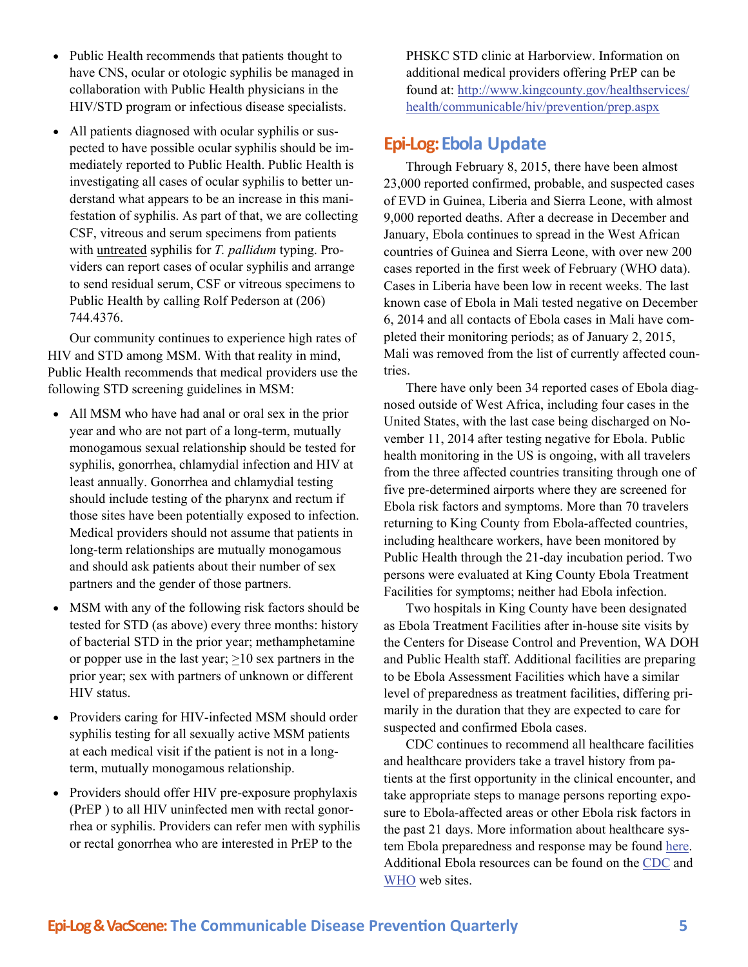- <span id="page-4-0"></span>• Public Health recommends that patients thought to have CNS, ocular or otologic syphilis be managed in collaboration with Public Health physicians in the HIV/STD program or infectious disease specialists.
- All patients diagnosed with ocular syphilis or suspected to have possible ocular syphilis should be immediately reported to Public Health. Public Health is investigating all cases of ocular syphilis to better understand what appears to be an increase in this manifestation of syphilis. As part of that, we are collecting CSF, vitreous and serum specimens from patients with untreated syphilis for *T. pallidum* typing. Providers can report cases of ocular syphilis and arrange to send residual serum, CSF or vitreous specimens to Public Health by calling Rolf Pederson at (206) 744.4376.

Our community continues to experience high rates of HIV and STD among MSM. With that reality in mind, Public Health recommends that medical providers use the following STD screening guidelines in MSM:

- All MSM who have had anal or oral sex in the prior year and who are not part of a long-term, mutually monogamous sexual relationship should be tested for syphilis, gonorrhea, chlamydial infection and HIV at least annually. Gonorrhea and chlamydial testing should include testing of the pharynx and rectum if those sites have been potentially exposed to infection. Medical providers should not assume that patients in long-term relationships are mutually monogamous and should ask patients about their number of sex partners and the gender of those partners.
- MSM with any of the following risk factors should be tested for STD (as above) every three months: history of bacterial STD in the prior year; methamphetamine or popper use in the last year;  $>10$  sex partners in the prior year; sex with partners of unknown or different HIV status.
- Providers caring for HIV-infected MSM should order syphilis testing for all sexually active MSM patients at each medical visit if the patient is not in a longterm, mutually monogamous relationship.
- Providers should offer HIV pre-exposure prophylaxis (PrEP ) to all HIV uninfected men with rectal gonorrhea or syphilis. Providers can refer men with syphilis or rectal gonorrhea who are interested in PrEP to the

PHSKC STD clinic at Harborview. Information on additional medical providers offering PrEP can be found at: [http://www.kingcounty.gov/healthservices/](http://www.kingcounty.gov/healthservices/health/communicable/hiv/prevention/prep.aspx) [health/communicable/hiv/prevention/prep.aspx](http://www.kingcounty.gov/healthservices/health/communicable/hiv/prevention/prep.aspx) 

#### **Epi‐Log:Ebola Update**

Through February 8, 2015, there have been almost 23,000 reported confirmed, probable, and suspected cases of EVD in Guinea, Liberia and Sierra Leone, with almost 9,000 reported deaths. After a decrease in December and January, Ebola continues to spread in the West African countries of Guinea and Sierra Leone, with over new 200 cases reported in the first week of February (WHO data). Cases in Liberia have been low in recent weeks. The last known case of Ebola in Mali tested negative on December 6, 2014 and all contacts of Ebola cases in Mali have completed their monitoring periods; as of January 2, 2015, Mali was removed from the list of currently affected countries.

There have only been 34 reported cases of Ebola diagnosed outside of West Africa, including four cases in the United States, with the last case being discharged on November 11, 2014 after testing negative for Ebola. Public health monitoring in the US is ongoing, with all travelers from the three affected countries transiting through one of five pre-determined airports where they are screened for Ebola risk factors and symptoms. More than 70 travelers returning to King County from Ebola-affected countries, including healthcare workers, have been monitored by Public Health through the 21-day incubation period. Two persons were evaluated at King County Ebola Treatment Facilities for symptoms; neither had Ebola infection.

Two hospitals in King County have been designated as Ebola Treatment Facilities after in-house site visits by the Centers for Disease Control and Prevention, WA DOH and Public Health staff. Additional facilities are preparing to be Ebola Assessment Facilities which have a similar level of preparedness as treatment facilities, differing primarily in the duration that they are expected to care for suspected and confirmed Ebola cases.

CDC continues to recommend all healthcare facilities and healthcare providers take a travel history from patients at the first opportunity in the clinical encounter, and take appropriate steps to manage persons reporting exposure to Ebola-affected areas or other Ebola risk factors in the past 21 days. More information about healthcare system Ebola preparedness and response may be found [here.](http://www.cdc.gov/vhf/ebola/healthcare-us/index.html) Additional Ebola resources can be found on the [CDC](http://www.cdc.gov/vhf/ebola/) and [WHO](http://apps.who.int/ebola/en/current-situation/ebola-situation-report) web sites.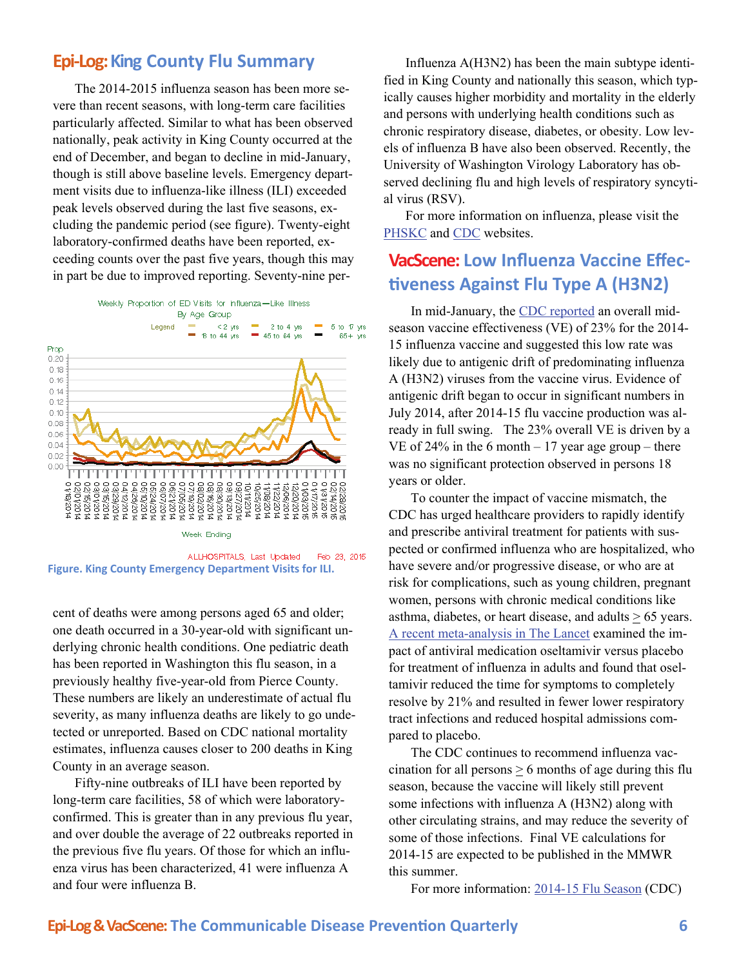#### <span id="page-5-0"></span>**Epi‐Log:King County Flu Summary**

The 2014-2015 influenza season has been more severe than recent seasons, with long-term care facilities particularly affected. Similar to what has been observed nationally, peak activity in King County occurred at the end of December, and began to decline in mid-January, though is still above baseline levels. Emergency department visits due to influenza-like illness (ILI) exceeded peak levels observed during the last five seasons, excluding the pandemic period (see figure). Twenty-eight laboratory-confirmed deaths have been reported, exceeding counts over the past five years, though this may in part be due to improved reporting. Seventy-nine per-



**Figure. King County Emergency Department Visits for ILI.** 

cent of deaths were among persons aged 65 and older; one death occurred in a 30-year-old with significant underlying chronic health conditions. One pediatric death has been reported in Washington this flu season, in a previously healthy five-year-old from Pierce County. These numbers are likely an underestimate of actual flu severity, as many influenza deaths are likely to go undetected or unreported. Based on CDC national mortality estimates, influenza causes closer to 200 deaths in King County in an average season.

Fifty-nine outbreaks of ILI have been reported by long-term care facilities, 58 of which were laboratoryconfirmed. This is greater than in any previous flu year, and over double the average of 22 outbreaks reported in the previous five flu years. Of those for which an influenza virus has been characterized, 41 were influenza A and four were influenza B.

Influenza A(H3N2) has been the main subtype identified in King County and nationally this season, which typically causes higher morbidity and mortality in the elderly and persons with underlying health conditions such as chronic respiratory disease, diabetes, or obesity. Low levels of influenza B have also been observed. Recently, the University of Washington Virology Laboratory has observed declining flu and high levels of respiratory syncytial virus (RSV).

For more information on influenza, please visit the [PHSKC](http://www.kingcounty.gov/healthservices/health/communicable/immunization/fluseason.aspx) and [CDC](http://www.cdc.gov/flu/) websites.

#### **VacScene: Low Influenza Vaccine Effec‐ Ɵveness Against Flu Type A (H3N2)**

In mid-January, the [CDC reported](http://www.cdc.gov/mmwr/preview/mmwrhtml/mm6401a4.htm) an overall midseason vaccine effectiveness (VE) of 23% for the 2014- 15 influenza vaccine and suggested this low rate was likely due to antigenic drift of predominating influenza A (H3N2) viruses from the vaccine virus. Evidence of antigenic drift began to occur in significant numbers in July 2014, after 2014-15 flu vaccine production was already in full swing. The 23% overall VE is driven by a VE of 24% in the 6 month  $-17$  year age group – there was no significant protection observed in persons 18 years or older.

To counter the impact of vaccine mismatch, the CDC has urged healthcare providers to rapidly identify and prescribe antiviral treatment for patients with suspected or confirmed influenza who are hospitalized, who have severe and/or progressive disease, or who are at risk for complications, such as young children, pregnant women, persons with chronic medical conditions like asthma, diabetes, or heart disease, and adults  $\geq 65$  years. [A recent meta-analysis in The Lancet](http://www.thelancet.com/journals/lancet/article/PIIS0140-6736(14)62449-1/abstract) examined the impact of antiviral medication oseltamivir versus placebo for treatment of influenza in adults and found that oseltamivir reduced the time for symptoms to completely resolve by 21% and resulted in fewer lower respiratory tract infections and reduced hospital admissions compared to placebo.

The CDC continues to recommend influenza vaccination for all persons  $\geq 6$  months of age during this flu season, because the vaccine will likely still prevent some infections with influenza A (H3N2) along with other circulating strains, and may reduce the severity of some of those infections. Final VE calculations for 2014-15 are expected to be published in the MMWR this summer.

For more information: [2014-15 Flu Season](http://www.cdc.gov/flu/about/season/index.htm) (CDC)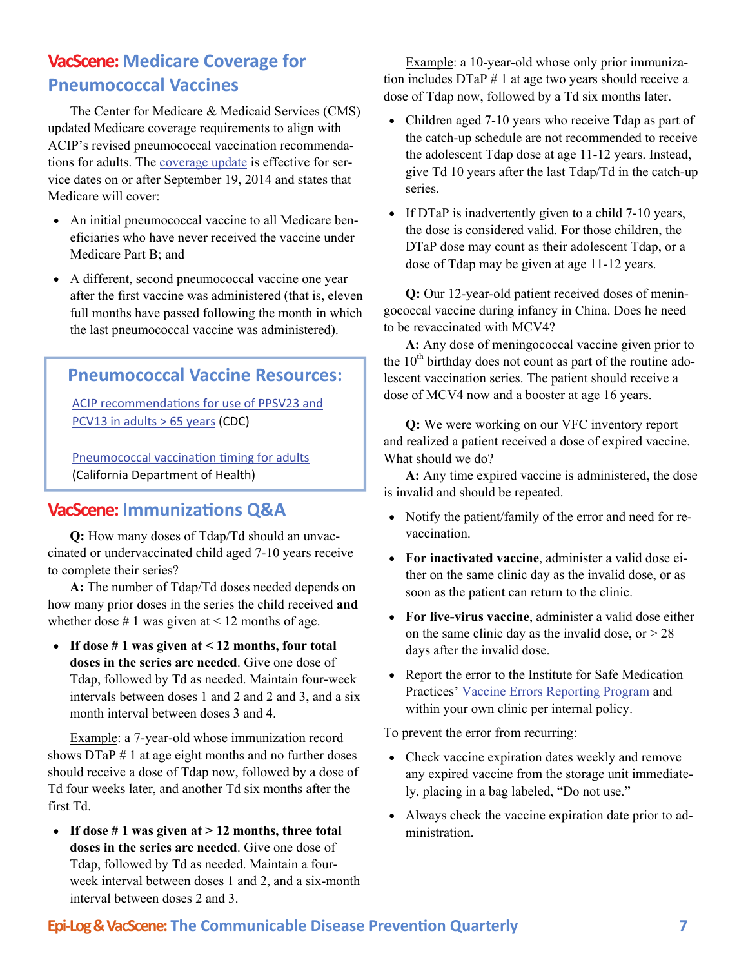#### <span id="page-6-0"></span>**VacScene: Medicare Coverage for Pneumococcal Vaccines**

The Center for Medicare & Medicaid Services (CMS) updated Medicare coverage requirements to align with ACIP's revised pneumococcal vaccination recommendations for adults. The [coverage update](http://www.cms.gov/Outreach-and-Education/Medicare-Learning-Network-MLN/MLNMattersArticles/Downloads/MM9051.pdf) is effective for service dates on or after September 19, 2014 and states that Medicare will cover:

- An initial pneumococcal vaccine to all Medicare beneficiaries who have never received the vaccine under Medicare Part B; and
- A different, second pneumococcal vaccine one year after the first vaccine was administered (that is, eleven full months have passed following the month in which the last pneumococcal vaccine was administered).

#### **Pneumococcal Vaccine Resources:**

ACIP [recommenda](http://www.cdc.gov/mmwr/preview/mmwrhtml/mm6337a4.htm)tions for use of PPSV23 and [PCV13](http://www.cdc.gov/mmwr/preview/mmwrhtml/mm6337a4.htm) in adults > 65 years (CDC)

[Pneumococcal](http://eziz.org/assets/docs/IMM-1152.pdf) vaccination timing for adults (California Department of Health)

#### **VacScene: ImmunizaƟons Q&A**

**Q:** How many doses of Tdap/Td should an unvaccinated or undervaccinated child aged 7-10 years receive to complete their series?

**A:** The number of Tdap/Td doses needed depends on how many prior doses in the series the child received **and** whether dose  $\# 1$  was given at < 12 months of age.

 **If dose # 1 was given at < 12 months, four total doses in the series are needed**. Give one dose of Tdap, followed by Td as needed. Maintain four-week intervals between doses 1 and 2 and 2 and 3, and a six month interval between doses 3 and 4.

Example: a 7-year-old whose immunization record shows  $DTaP \# 1$  at age eight months and no further doses should receive a dose of Tdap now, followed by a dose of Td four weeks later, and another Td six months after the first Td.

• If dose # 1 was given at  $\geq$  12 months, three total **doses in the series are needed**. Give one dose of Tdap, followed by Td as needed. Maintain a fourweek interval between doses 1 and 2, and a six-month interval between doses 2 and 3.

Example: a 10-year-old whose only prior immunization includes DTaP # 1 at age two years should receive a dose of Tdap now, followed by a Td six months later.

- Children aged 7-10 years who receive Tdap as part of the catch-up schedule are not recommended to receive the adolescent Tdap dose at age 11-12 years. Instead, give Td 10 years after the last Tdap/Td in the catch-up series.
- If DTaP is inadvertently given to a child 7-10 years, the dose is considered valid. For those children, the DTaP dose may count as their adolescent Tdap, or a dose of Tdap may be given at age 11-12 years.

**Q:** Our 12-year-old patient received doses of meningococcal vaccine during infancy in China. Does he need to be revaccinated with MCV4?

**A:** Any dose of meningococcal vaccine given prior to the  $10<sup>th</sup>$  birthday does not count as part of the routine adolescent vaccination series. The patient should receive a dose of MCV4 now and a booster at age 16 years.

**Q:** We were working on our VFC inventory report and realized a patient received a dose of expired vaccine. What should we do?

**A:** Any time expired vaccine is administered, the dose is invalid and should be repeated.

- Notify the patient/family of the error and need for revaccination.
- **For inactivated vaccine**, administer a valid dose either on the same clinic day as the invalid dose, or as soon as the patient can return to the clinic.
- **For live-virus vaccine**, administer a valid dose either on the same clinic day as the invalid dose, or  $> 28$ days after the invalid dose.
- Report the error to the Institute for Safe Medication Practices' [Vaccine Errors Reporting Program](http://verp.ismp.org/) and within your own clinic per internal policy.

To prevent the error from recurring:

- Check vaccine expiration dates weekly and remove any expired vaccine from the storage unit immediately, placing in a bag labeled, "Do not use."
- Always check the vaccine expiration date prior to administration.